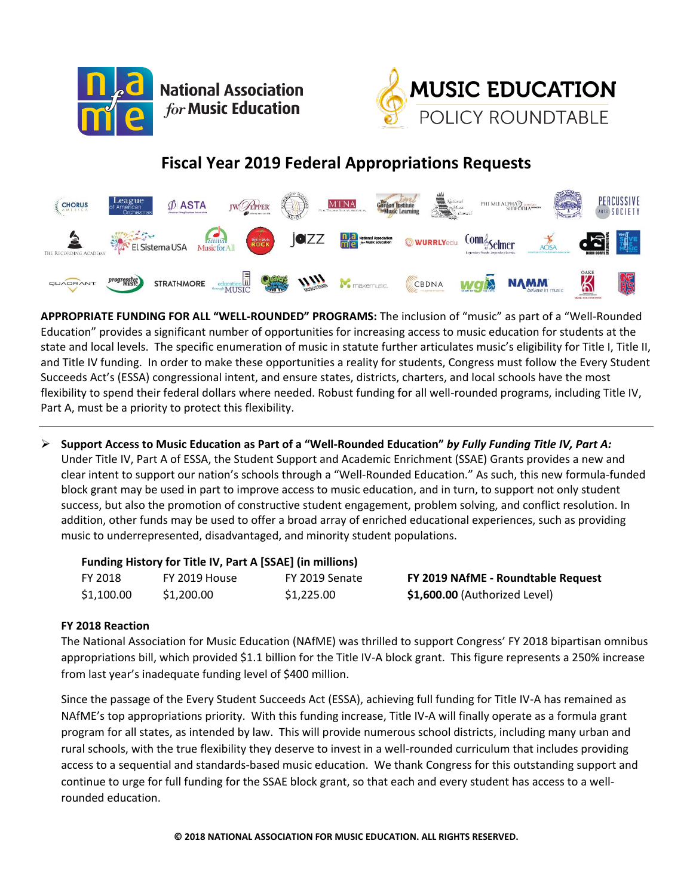

**National Association** for Music Education



## **Fiscal Year 2019 Federal Appropriations Requests**



**APPROPRIATE FUNDING FOR ALL "WELL-ROUNDED" PROGRAMS:** The inclusion of "music" as part of a "Well-Rounded Education" provides a significant number of opportunities for increasing access to music education for students at the state and local levels. The specific enumeration of music in statute further articulates music's eligibility for Title I, Title II, and Title IV funding. In order to make these opportunities a reality for students, Congress must follow the Every Student Succeeds Act's (ESSA) congressional intent, and ensure states, districts, charters, and local schools have the most flexibility to spend their federal dollars where needed. Robust funding for all well-rounded programs, including Title IV, Part A, must be a priority to protect this flexibility.

 $\triangleright$  Support Access to Music Education as Part of a "Well-Rounded Education" by Fully Funding Title IV, Part A: Under Title IV, Part A of ESSA, the Student Support and Academic Enrichment (SSAE) Grants provides a new and clear intent to support our nation's schools through a "Well-Rounded Education." As such, this new formula-funded block grant may be used in part to improve access to music education, and in turn, to support not only student success, but also the promotion of constructive student engagement, problem solving, and conflict resolution. In addition, other funds may be used to offer a broad array of enriched educational experiences, such as providing music to underrepresented, disadvantaged, and minority student populations.

## **Funding History for Title IV, Part A [SSAE] (in millions)**

| FY 2018    | FY 2019 House | FY 2019 Senate |
|------------|---------------|----------------|
| \$1,100.00 | \$1,200.00    | \$1,225.00     |

FY 2018 FY 2019 House FY 2019 Senate **FY 2019 NAfME - Roundtable Request** \$1,600.00 (Authorized Level)

## **FY 2018 Reaction**

The National Association for Music Education (NAfME) was thrilled to support Congress' FY 2018 bipartisan omnibus appropriations bill, which provided \$1.1 billion for the Title IV-A block grant. This figure represents a 250% increase from last year's inadequate funding level of \$400 million.

Since the passage of the Every Student Succeeds Act (ESSA), achieving full funding for Title IV-A has remained as NAfME's top appropriations priority. With this funding increase, Title IV-A will finally operate as a formula grant program for all states, as intended by law. This will provide numerous school districts, including many urban and rural schools, with the true flexibility they deserve to invest in a well-rounded curriculum that includes providing access to a sequential and standards-based music education. We thank Congress for this outstanding support and continue to urge for full funding for the SSAE block grant, so that each and every student has access to a wellrounded education.